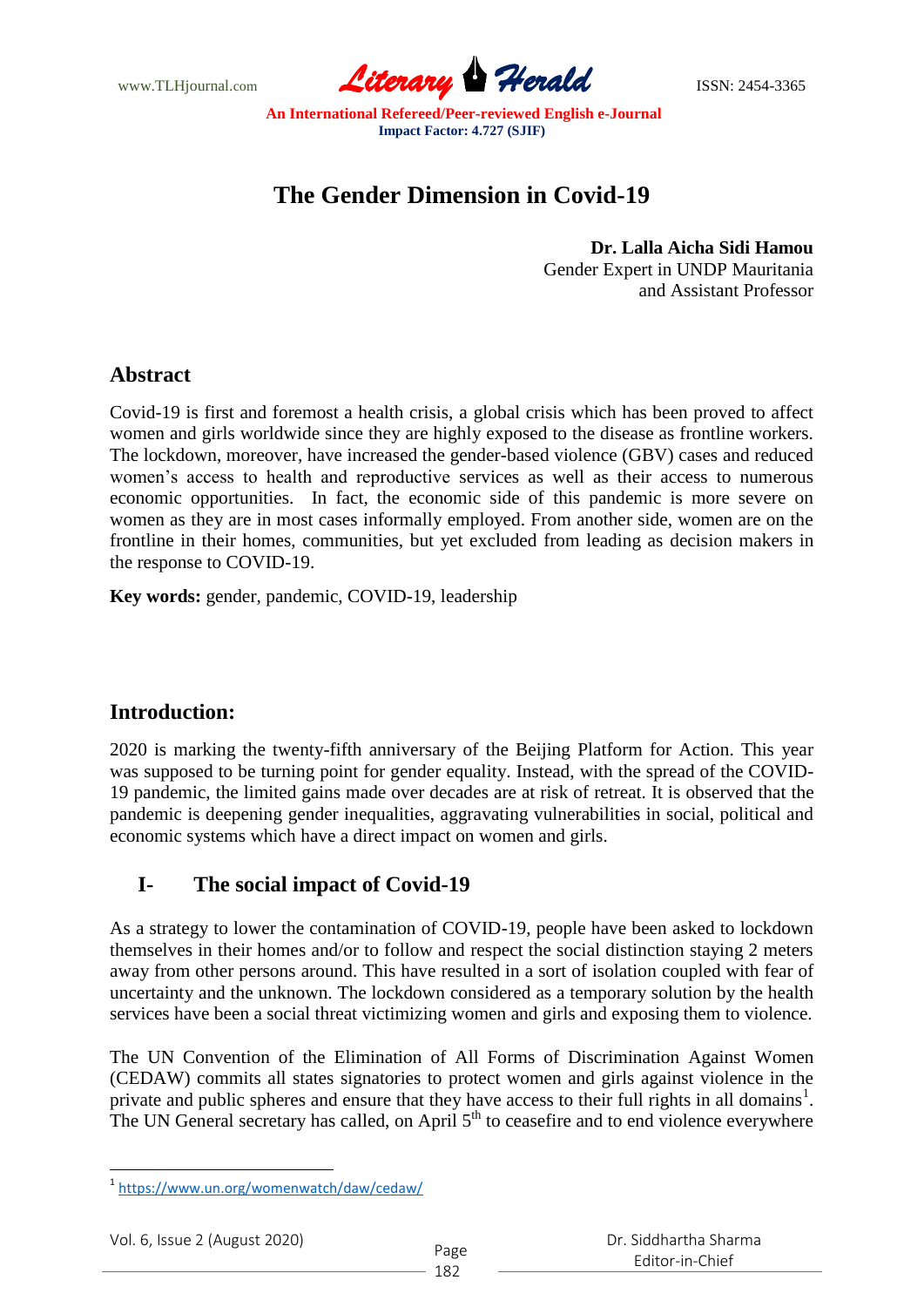www.TLHjournal.com **Literary Herald** ISSN: 2454-3365

# **The Gender Dimension in Covid-19**

**Dr. Lalla Aicha Sidi Hamou** Gender Expert in UNDP Mauritania and Assistant Professor

## **Abstract**

Covid-19 is first and foremost a health crisis, a global crisis which has been proved to affect women and girls worldwide since they are highly exposed to the disease as frontline workers. The lockdown, moreover, have increased the gender-based violence (GBV) cases and reduced women"s access to health and reproductive services as well as their access to numerous economic opportunities. In fact, the economic side of this pandemic is more severe on women as they are in most cases informally employed. From another side, women are on the frontline in their homes, communities, but yet excluded from leading as decision makers in the response to COVID-19.

**Key words:** gender, pandemic, COVID-19, leadership

## **Introduction:**

2020 is marking the twenty-fifth anniversary of the Beijing Platform for Action. This year was supposed to be turning point for gender equality. Instead, with the spread of the COVID-19 pandemic, the limited gains made over decades are at risk of retreat. It is observed that the pandemic is deepening gender inequalities, aggravating vulnerabilities in social, political and economic systems which have a direct impact on women and girls.

## **I- The social impact of Covid-19**

As a strategy to lower the contamination of COVID-19, people have been asked to lockdown themselves in their homes and/or to follow and respect the social distinction staying 2 meters away from other persons around. This have resulted in a sort of isolation coupled with fear of uncertainty and the unknown. The lockdown considered as a temporary solution by the health services have been a social threat victimizing women and girls and exposing them to violence.

The UN Convention of the Elimination of All Forms of Discrimination Against Women (CEDAW) commits all states signatories to protect women and girls against violence in the private and public spheres and ensure that they have access to their full rights in all domains<sup>1</sup>. The UN General secretary has called, on April 5<sup>th</sup> to ceasefire and to end violence everywhere

**.** 

<sup>1</sup> https://www.un.org/womenwatch/daw/cedaw/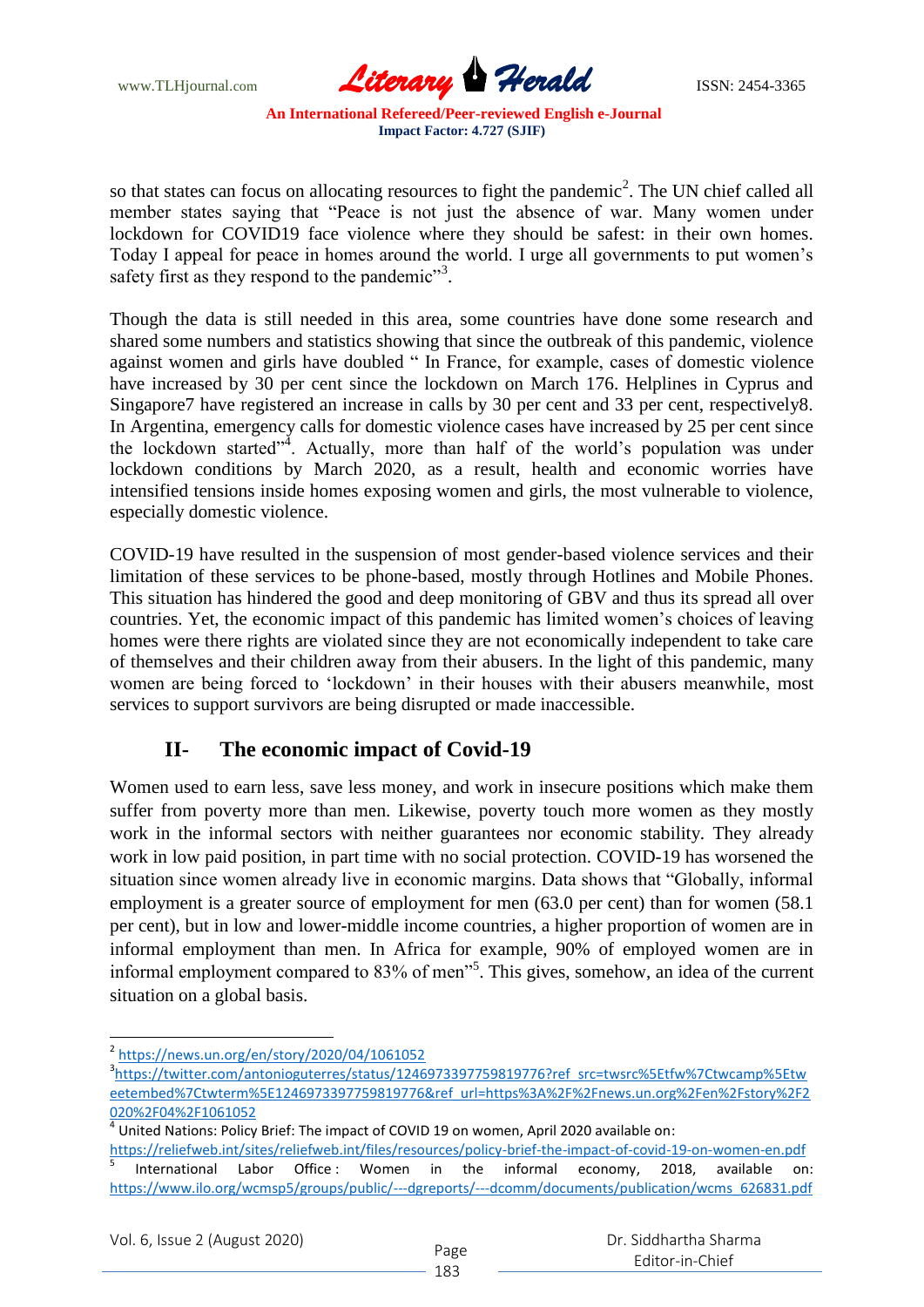www.TLHjournal.com **Literary Herald Herald ISSN: 2454-3365** 

so that states can focus on allocating resources to fight the pandemic<sup>2</sup>. The UN chief called all member states saying that "Peace is not just the absence of war. Many women under lockdown for COVID19 face violence where they should be safest: in their own homes. Today I appeal for peace in homes around the world. I urge all governments to put women"s safety first as they respond to the pandemic"<sup>3</sup>.

Though the data is still needed in this area, some countries have done some research and shared some numbers and statistics showing that since the outbreak of this pandemic, violence against women and girls have doubled " In France, for example, cases of domestic violence have increased by 30 per cent since the lockdown on March 176. Helplines in Cyprus and Singapore7 have registered an increase in calls by 30 per cent and 33 per cent, respectively8. In Argentina, emergency calls for domestic violence cases have increased by 25 per cent since the lockdown started"<sup>4</sup>. Actually, more than half of the world's population was under lockdown conditions by March 2020, as a result, health and economic worries have intensified tensions inside homes exposing women and girls, the most vulnerable to violence, especially domestic violence.

COVID-19 have resulted in the suspension of most gender-based violence services and their limitation of these services to be phone-based, mostly through Hotlines and Mobile Phones. This situation has hindered the good and deep monitoring of GBV and thus its spread all over countries. Yet, the economic impact of this pandemic has limited women"s choices of leaving homes were there rights are violated since they are not economically independent to take care of themselves and their children away from their abusers. In the light of this pandemic, many women are being forced to "lockdown" in their houses with their abusers meanwhile, most services to support survivors are being disrupted or made inaccessible.

## **II- The economic impact of Covid-19**

Women used to earn less, save less money, and work in insecure positions which make them suffer from poverty more than men. Likewise, poverty touch more women as they mostly work in the informal sectors with neither guarantees nor economic stability. They already work in low paid position, in part time with no social protection. COVID-19 has worsened the situation since women already live in economic margins. Data shows that "Globally, informal employment is a greater source of employment for men (63.0 per cent) than for women (58.1) per cent), but in low and lower-middle income countries, a higher proportion of women are in informal employment than men. In Africa for example, 90% of employed women are in informal employment compared to 83% of men<sup>35</sup>. This gives, somehow, an idea of the current situation on a global basis.

**.** 

<sup>2</sup> https://news.un.org/en/story/2020/04/1061052

<sup>&</sup>lt;sup>3</sup>https://twitter.com/antonioguterres/status/1246973397759819776?ref\_src=twsrc%5Etfw%7Ctwcamp%5Etw eetembed%7Ctwterm%5E1246973397759819776&ref\_url=https%3A%2F%2Fnews.un.org%2Fen%2Fstory%2F2 020%2F04%2F1061052

 $^4$  United Nations: Policy Brief: The impact of COVID 19 on women, April 2020 available on:

https://reliefweb.int/sites/reliefweb.int/files/resources/policy-brief-the-impact-of-covid-19-on-women-en.pdf 5 International Labor Office: Women in the informal economy, 2018, available on: https://www.ilo.org/wcmsp5/groups/public/---dgreports/---dcomm/documents/publication/wcms\_626831.pdf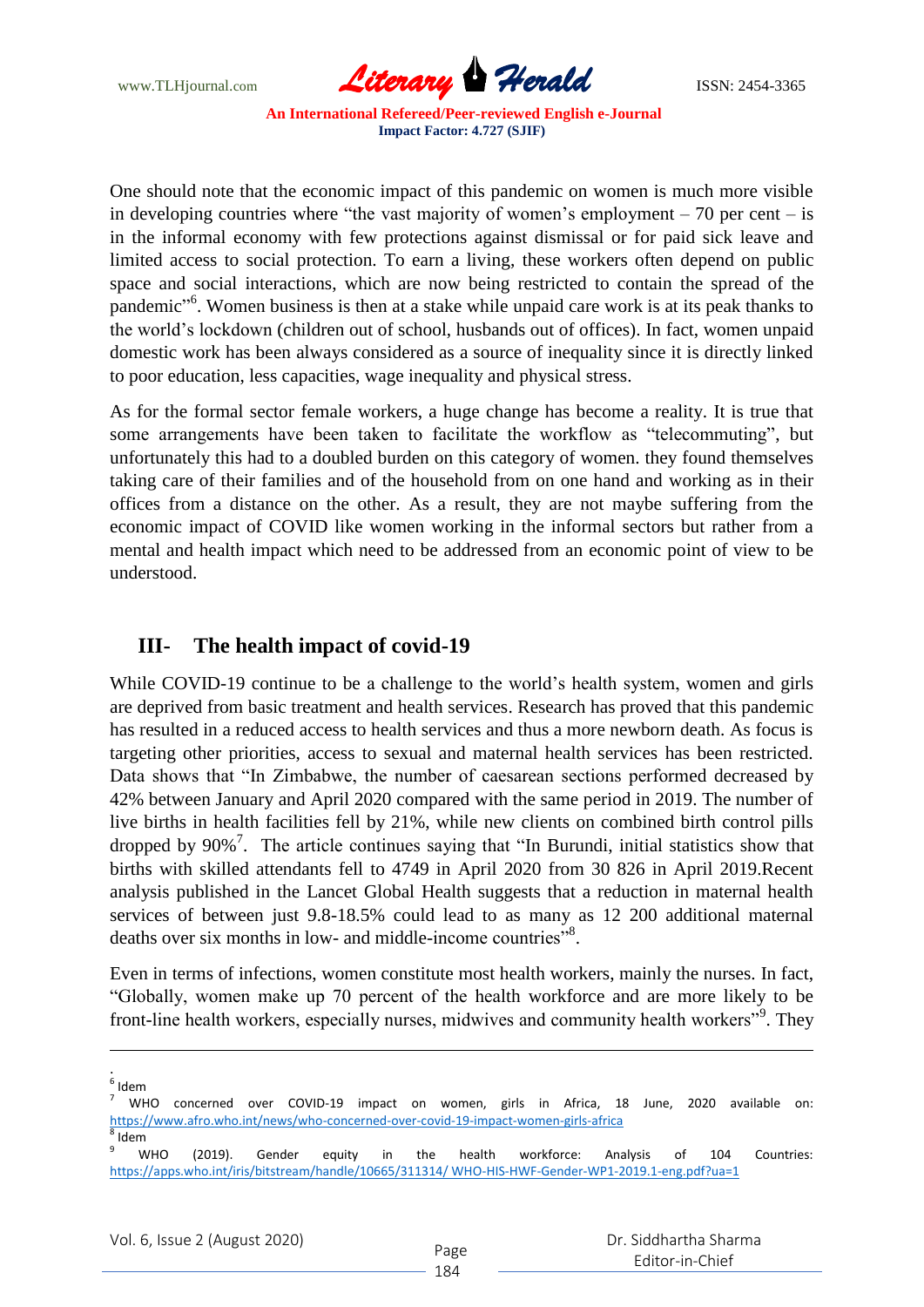www.TLHjournal.com **Literary Herald Herald ISSN: 2454-3365** 

One should note that the economic impact of this pandemic on women is much more visible in developing countries where "the vast majority of women's employment  $-70$  per cent  $-$  is in the informal economy with few protections against dismissal or for paid sick leave and limited access to social protection. To earn a living, these workers often depend on public space and social interactions, which are now being restricted to contain the spread of the pandemic"<sup>6</sup>. Women business is then at a stake while unpaid care work is at its peak thanks to the world"s lockdown (children out of school, husbands out of offices). In fact, women unpaid domestic work has been always considered as a source of inequality since it is directly linked to poor education, less capacities, wage inequality and physical stress.

As for the formal sector female workers, a huge change has become a reality. It is true that some arrangements have been taken to facilitate the workflow as "telecommuting", but unfortunately this had to a doubled burden on this category of women. they found themselves taking care of their families and of the household from on one hand and working as in their offices from a distance on the other. As a result, they are not maybe suffering from the economic impact of COVID like women working in the informal sectors but rather from a mental and health impact which need to be addressed from an economic point of view to be understood.

#### **III- The health impact of covid-19**

While COVID-19 continue to be a challenge to the world's health system, women and girls are deprived from basic treatment and health services. Research has proved that this pandemic has resulted in a reduced access to health services and thus a more newborn death. As focus is targeting other priorities, access to sexual and maternal health services has been restricted. Data shows that "In Zimbabwe, the number of caesarean sections performed decreased by 42% between January and April 2020 compared with the same period in 2019. The number of live births in health facilities fell by 21%, while new clients on combined birth control pills dropped by 90%<sup>7</sup>. The article continues saying that "In Burundi, initial statistics show that births with skilled attendants fell to 4749 in April 2020 from 30 826 in April 2019.Recent analysis published in the Lancet Global Health suggests that a reduction in maternal health services of between just 9.8-18.5% could lead to as many as 12 200 additional maternal deaths over six months in low- and middle-income countries"<sup>8</sup>.

Even in terms of infections, women constitute most health workers, mainly the nurses. In fact, "Globally, women make up 70 percent of the health workforce and are more likely to be front-line health workers, especially nurses, midwives and community health workers"<sup>9</sup>. They

 $\overline{a}$ 

|                                                                                     | WHO concerned over COVID-19 impact on women, girls in Africa, 18 June, 2020 available on: |  |  |  |  |  |  |  |  |  |  |  |  |  |
|-------------------------------------------------------------------------------------|-------------------------------------------------------------------------------------------|--|--|--|--|--|--|--|--|--|--|--|--|--|
| https://www.afro.who.int/news/who-concerned-over-covid-19-impact-women-girls-africa |                                                                                           |  |  |  |  |  |  |  |  |  |  |  |  |  |

<sup>8</sup> Idem

<sup>.&</sup>lt;br><sup>6</sup> Idem

 $9$  WHO (2019). Gender equity in the health workforce: Analysis of 104 Countries: https://apps.who.int/iris/bitstream/handle/10665/311314/ WHO-HIS-HWF-Gender-WP1-2019.1-eng.pdf?ua=1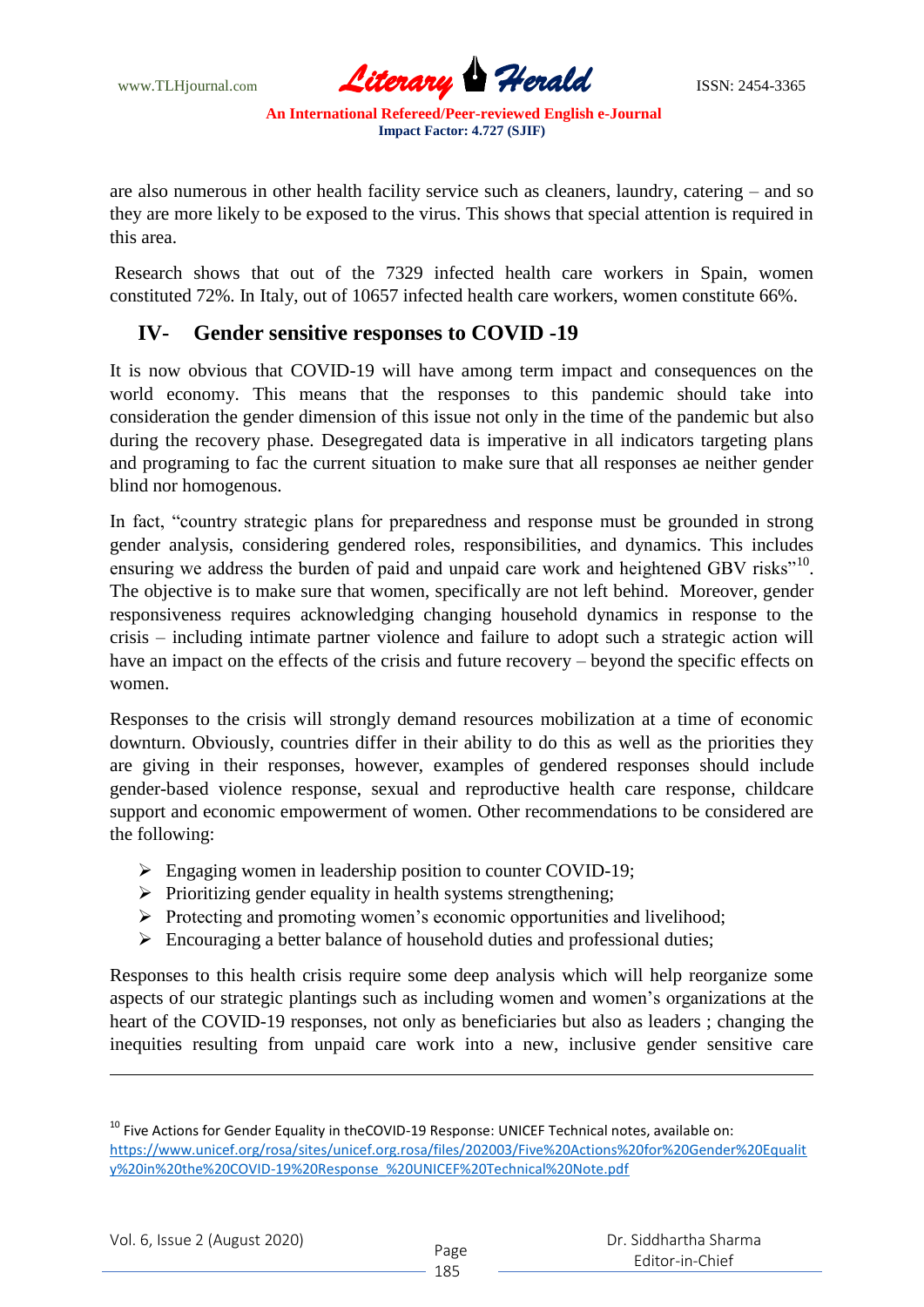www.TLHjournal.com **Literary Herald Herald** ISSN: 2454-3365

are also numerous in other health facility service such as cleaners, laundry, catering – and so they are more likely to be exposed to the virus. This shows that special attention is required in this area.

Research shows that out of the 7329 infected health care workers in Spain, women constituted 72%. In Italy, out of 10657 infected health care workers, women constitute 66%.

#### **IV- Gender sensitive responses to COVID -19**

It is now obvious that COVID-19 will have among term impact and consequences on the world economy. This means that the responses to this pandemic should take into consideration the gender dimension of this issue not only in the time of the pandemic but also during the recovery phase. Desegregated data is imperative in all indicators targeting plans and programing to fac the current situation to make sure that all responses ae neither gender blind nor homogenous.

In fact, "country strategic plans for preparedness and response must be grounded in strong gender analysis, considering gendered roles, responsibilities, and dynamics. This includes ensuring we address the burden of paid and unpaid care work and heightened GBV risks"<sup>10</sup>. The objective is to make sure that women, specifically are not left behind. Moreover, gender responsiveness requires acknowledging changing household dynamics in response to the crisis – including intimate partner violence and failure to adopt such a strategic action will have an impact on the effects of the crisis and future recovery – beyond the specific effects on women.

Responses to the crisis will strongly demand resources mobilization at a time of economic downturn. Obviously, countries differ in their ability to do this as well as the priorities they are giving in their responses, however, examples of gendered responses should include gender-based violence response, sexual and reproductive health care response, childcare support and economic empowerment of women. Other recommendations to be considered are the following:

- Engaging women in leadership position to counter COVID-19;
- $\triangleright$  Prioritizing gender equality in health systems strengthening;
- $\triangleright$  Protecting and promoting women's economic opportunities and livelihood;
- $\triangleright$  Encouraging a better balance of household duties and professional duties;

Responses to this health crisis require some deep analysis which will help reorganize some aspects of our strategic plantings such as including women and women"s organizations at the heart of the COVID-19 responses, not only as beneficiaries but also as leaders ; changing the inequities resulting from unpaid care work into a new, inclusive gender sensitive care

 $\overline{a}$ 

<sup>&</sup>lt;sup>10</sup> Five Actions for Gender Equality in theCOVID-19 Response: UNICEF Technical notes, available on: https://www.unicef.org/rosa/sites/unicef.org.rosa/files/202003/Five%20Actions%20for%20Gender%20Equalit y%20in%20the%20COVID-19%20Response\_%20UNICEF%20Technical%20Note.pdf